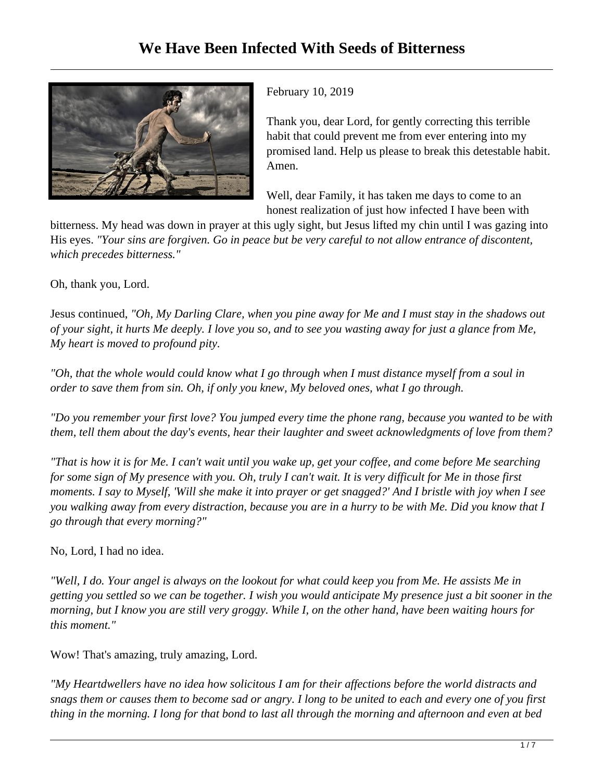

February 10, 2019

Thank you, dear Lord, for gently correcting this terrible habit that could prevent me from ever entering into my promised land. Help us please to break this detestable habit. Amen.

Well, dear Family, it has taken me days to come to an honest realization of just how infected I have been with

bitterness. My head was down in prayer at this ugly sight, but Jesus lifted my chin until I was gazing into His eyes. *"Your sins are forgiven. Go in peace but be very careful to not allow entrance of discontent, which precedes bitterness."*

Oh, thank you, Lord.

Jesus continued, *"Oh, My Darling Clare, when you pine away for Me and I must stay in the shadows out of your sight, it hurts Me deeply. I love you so, and to see you wasting away for just a glance from Me, My heart is moved to profound pity.* 

*"Oh, that the whole would could know what I go through when I must distance myself from a soul in order to save them from sin. Oh, if only you knew, My beloved ones, what I go through.* 

*"Do you remember your first love? You jumped every time the phone rang, because you wanted to be with them, tell them about the day's events, hear their laughter and sweet acknowledgments of love from them?*

*"That is how it is for Me. I can't wait until you wake up, get your coffee, and come before Me searching for some sign of My presence with you. Oh, truly I can't wait. It is very difficult for Me in those first moments. I say to Myself, 'Will she make it into prayer or get snagged?' And I bristle with joy when I see you walking away from every distraction, because you are in a hurry to be with Me. Did you know that I go through that every morning?"*

No, Lord, I had no idea.

*"Well, I do. Your angel is always on the lookout for what could keep you from Me. He assists Me in getting you settled so we can be together. I wish you would anticipate My presence just a bit sooner in the morning, but I know you are still very groggy. While I, on the other hand, have been waiting hours for this moment."*

Wow! That's amazing, truly amazing, Lord.

*"My Heartdwellers have no idea how solicitous I am for their affections before the world distracts and snags them or causes them to become sad or angry. I long to be united to each and every one of you first thing in the morning. I long for that bond to last all through the morning and afternoon and even at bed*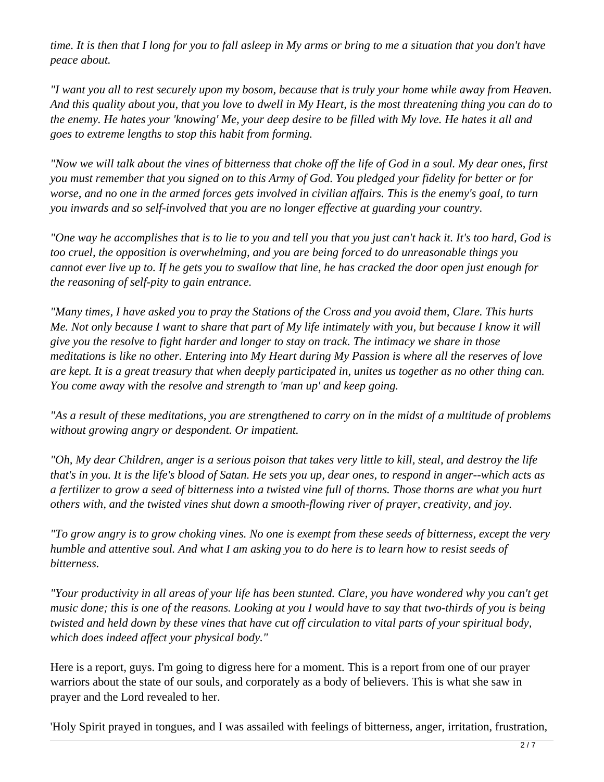*time. It is then that I long for you to fall asleep in My arms or bring to me a situation that you don't have peace about.* 

*"I want you all to rest securely upon my bosom, because that is truly your home while away from Heaven. And this quality about you, that you love to dwell in My Heart, is the most threatening thing you can do to the enemy. He hates your 'knowing' Me, your deep desire to be filled with My love. He hates it all and goes to extreme lengths to stop this habit from forming.*

*"Now we will talk about the vines of bitterness that choke off the life of God in a soul. My dear ones, first you must remember that you signed on to this Army of God. You pledged your fidelity for better or for worse, and no one in the armed forces gets involved in civilian affairs. This is the enemy's goal, to turn you inwards and so self-involved that you are no longer effective at guarding your country.* 

*"One way he accomplishes that is to lie to you and tell you that you just can't hack it. It's too hard, God is too cruel, the opposition is overwhelming, and you are being forced to do unreasonable things you cannot ever live up to. If he gets you to swallow that line, he has cracked the door open just enough for the reasoning of self-pity to gain entrance.* 

*"Many times, I have asked you to pray the Stations of the Cross and you avoid them, Clare. This hurts Me. Not only because I want to share that part of My life intimately with you, but because I know it will give you the resolve to fight harder and longer to stay on track. The intimacy we share in those meditations is like no other. Entering into My Heart during My Passion is where all the reserves of love are kept. It is a great treasury that when deeply participated in, unites us together as no other thing can. You come away with the resolve and strength to 'man up' and keep going.*

*"As a result of these meditations, you are strengthened to carry on in the midst of a multitude of problems without growing angry or despondent. Or impatient.*

*"Oh, My dear Children, anger is a serious poison that takes very little to kill, steal, and destroy the life that's in you. It is the life's blood of Satan. He sets you up, dear ones, to respond in anger--which acts as a fertilizer to grow a seed of bitterness into a twisted vine full of thorns. Those thorns are what you hurt others with, and the twisted vines shut down a smooth-flowing river of prayer, creativity, and joy.* 

*"To grow angry is to grow choking vines. No one is exempt from these seeds of bitterness, except the very humble and attentive soul. And what I am asking you to do here is to learn how to resist seeds of bitterness.* 

*"Your productivity in all areas of your life has been stunted. Clare, you have wondered why you can't get music done; this is one of the reasons. Looking at you I would have to say that two-thirds of you is being twisted and held down by these vines that have cut off circulation to vital parts of your spiritual body, which does indeed affect your physical body."* 

Here is a report, guys. I'm going to digress here for a moment. This is a report from one of our prayer warriors about the state of our souls, and corporately as a body of believers. This is what she saw in prayer and the Lord revealed to her.

'Holy Spirit prayed in tongues, and I was assailed with feelings of bitterness, anger, irritation, frustration,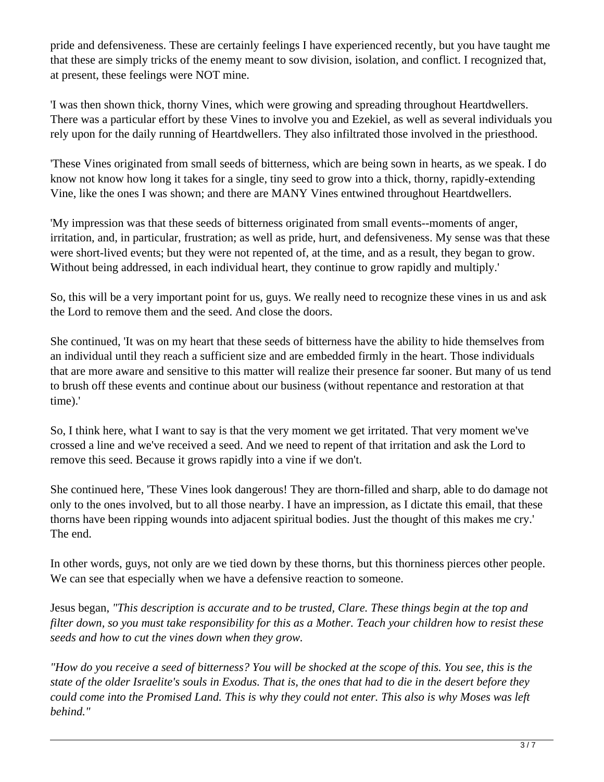pride and defensiveness. These are certainly feelings I have experienced recently, but you have taught me that these are simply tricks of the enemy meant to sow division, isolation, and conflict. I recognized that, at present, these feelings were NOT mine.

'I was then shown thick, thorny Vines, which were growing and spreading throughout Heartdwellers. There was a particular effort by these Vines to involve you and Ezekiel, as well as several individuals you rely upon for the daily running of Heartdwellers. They also infiltrated those involved in the priesthood.

'These Vines originated from small seeds of bitterness, which are being sown in hearts, as we speak. I do know not know how long it takes for a single, tiny seed to grow into a thick, thorny, rapidly-extending Vine, like the ones I was shown; and there are MANY Vines entwined throughout Heartdwellers.

'My impression was that these seeds of bitterness originated from small events--moments of anger, irritation, and, in particular, frustration; as well as pride, hurt, and defensiveness. My sense was that these were short-lived events; but they were not repented of, at the time, and as a result, they began to grow. Without being addressed, in each individual heart, they continue to grow rapidly and multiply.'

So, this will be a very important point for us, guys. We really need to recognize these vines in us and ask the Lord to remove them and the seed. And close the doors.

She continued, 'It was on my heart that these seeds of bitterness have the ability to hide themselves from an individual until they reach a sufficient size and are embedded firmly in the heart. Those individuals that are more aware and sensitive to this matter will realize their presence far sooner. But many of us tend to brush off these events and continue about our business (without repentance and restoration at that time).'

So, I think here, what I want to say is that the very moment we get irritated. That very moment we've crossed a line and we've received a seed. And we need to repent of that irritation and ask the Lord to remove this seed. Because it grows rapidly into a vine if we don't.

She continued here, 'These Vines look dangerous! They are thorn-filled and sharp, able to do damage not only to the ones involved, but to all those nearby. I have an impression, as I dictate this email, that these thorns have been ripping wounds into adjacent spiritual bodies. Just the thought of this makes me cry.' The end.

In other words, guys, not only are we tied down by these thorns, but this thorniness pierces other people. We can see that especially when we have a defensive reaction to someone.

Jesus began, *"This description is accurate and to be trusted, Clare. These things begin at the top and filter down, so you must take responsibility for this as a Mother. Teach your children how to resist these seeds and how to cut the vines down when they grow.* 

*"How do you receive a seed of bitterness? You will be shocked at the scope of this. You see, this is the state of the older Israelite's souls in Exodus. That is, the ones that had to die in the desert before they could come into the Promised Land. This is why they could not enter. This also is why Moses was left behind."*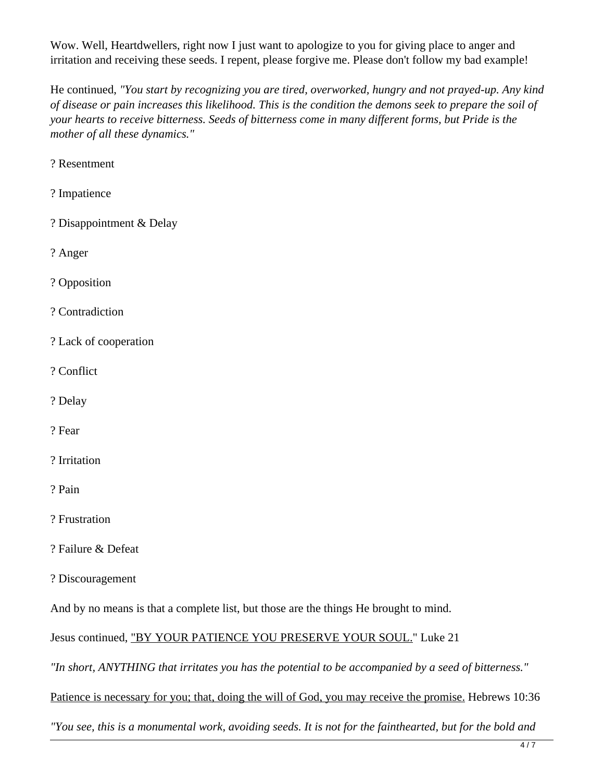Wow. Well, Heartdwellers, right now I just want to apologize to you for giving place to anger and irritation and receiving these seeds. I repent, please forgive me. Please don't follow my bad example!

He continued, *"You start by recognizing you are tired, overworked, hungry and not prayed-up. Any kind of disease or pain increases this likelihood. This is the condition the demons seek to prepare the soil of your hearts to receive bitterness. Seeds of bitterness come in many different forms, but Pride is the mother of all these dynamics."*

? Resentment

- ? Impatience
- ? Disappointment & Delay

? Anger

? Opposition

? Contradiction

- ? Lack of cooperation
- ? Conflict
- ? Delay
- ? Fear
- ? Irritation
- ? Pain
- ? Frustration
- ? Failure & Defeat
- ? Discouragement

And by no means is that a complete list, but those are the things He brought to mind.

Jesus continued, "BY YOUR PATIENCE YOU PRESERVE YOUR SOUL." Luke 21

*"In short, ANYTHING that irritates you has the potential to be accompanied by a seed of bitterness."* 

Patience is necessary for you; that, doing the will of God, you may receive the promise. Hebrews 10:36

*"You see, this is a monumental work, avoiding seeds. It is not for the fainthearted, but for the bold and*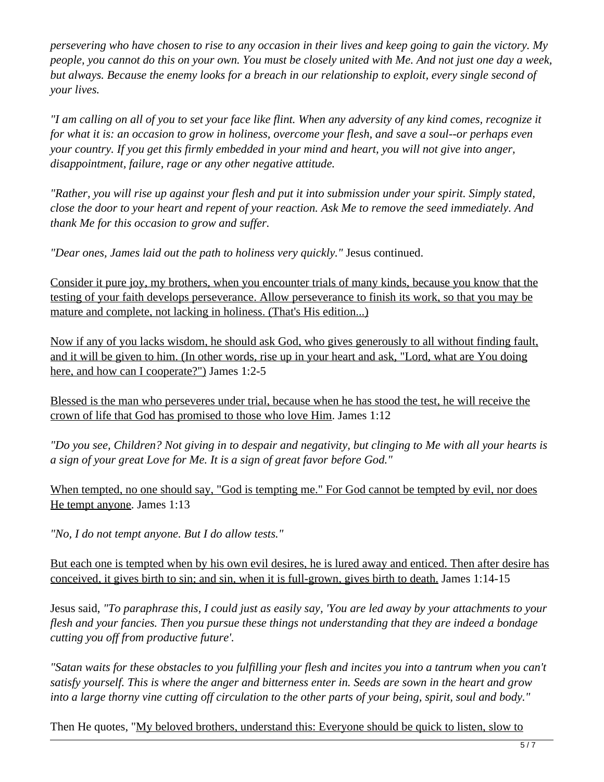*persevering who have chosen to rise to any occasion in their lives and keep going to gain the victory. My people, you cannot do this on your own. You must be closely united with Me. And not just one day a week, but always. Because the enemy looks for a breach in our relationship to exploit, every single second of your lives.*

*"I am calling on all of you to set your face like flint. When any adversity of any kind comes, recognize it for what it is: an occasion to grow in holiness, overcome your flesh, and save a soul--or perhaps even your country. If you get this firmly embedded in your mind and heart, you will not give into anger, disappointment, failure, rage or any other negative attitude.* 

*"Rather, you will rise up against your flesh and put it into submission under your spirit. Simply stated, close the door to your heart and repent of your reaction. Ask Me to remove the seed immediately. And thank Me for this occasion to grow and suffer.* 

*"Dear ones, James laid out the path to holiness very quickly."* Jesus continued.

Consider it pure joy, my brothers, when you encounter trials of many kinds, because you know that the testing of your faith develops perseverance. Allow perseverance to finish its work, so that you may be mature and complete, not lacking in holiness. (That's His edition...)

Now if any of you lacks wisdom, he should ask God, who gives generously to all without finding fault, and it will be given to him. (In other words, rise up in your heart and ask, "Lord, what are You doing here, and how can I cooperate?") James 1:2-5

Blessed is the man who perseveres under trial, because when he has stood the test, he will receive the crown of life that God has promised to those who love Him. James 1:12

*"Do you see, Children? Not giving in to despair and negativity, but clinging to Me with all your hearts is a sign of your great Love for Me. It is a sign of great favor before God."*

When tempted, no one should say, "God is tempting me." For God cannot be tempted by evil, nor does He tempt anyone. James 1:13

*"No, I do not tempt anyone. But I do allow tests."*

But each one is tempted when by his own evil desires, he is lured away and enticed. Then after desire has conceived, it gives birth to sin; and sin, when it is full-grown, gives birth to death. James 1:14-15

Jesus said, *"To paraphrase this, I could just as easily say, 'You are led away by your attachments to your flesh and your fancies. Then you pursue these things not understanding that they are indeed a bondage cutting you off from productive future'.* 

*"Satan waits for these obstacles to you fulfilling your flesh and incites you into a tantrum when you can't satisfy yourself. This is where the anger and bitterness enter in. Seeds are sown in the heart and grow into a large thorny vine cutting off circulation to the other parts of your being, spirit, soul and body."*

Then He quotes, "My beloved brothers, understand this: Everyone should be quick to listen, slow to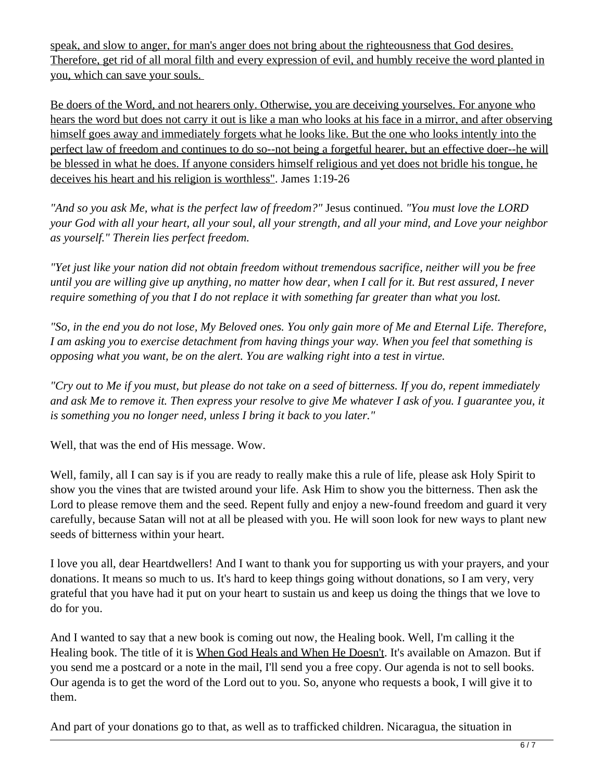speak, and slow to anger, for man's anger does not bring about the righteousness that God desires. Therefore, get rid of all moral filth and every expression of evil, and humbly receive the word planted in you, which can save your souls.

Be doers of the Word, and not hearers only. Otherwise, you are deceiving yourselves. For anyone who hears the word but does not carry it out is like a man who looks at his face in a mirror, and after observing himself goes away and immediately forgets what he looks like. But the one who looks intently into the perfect law of freedom and continues to do so--not being a forgetful hearer, but an effective doer--he will be blessed in what he does. If anyone considers himself religious and yet does not bridle his tongue, he deceives his heart and his religion is worthless". James 1:19-26

*"And so you ask Me, what is the perfect law of freedom?"* Jesus continued. *"You must love the LORD your God with all your heart, all your soul, all your strength, and all your mind, and Love your neighbor as yourself." Therein lies perfect freedom.* 

*"Yet just like your nation did not obtain freedom without tremendous sacrifice, neither will you be free until you are willing give up anything, no matter how dear, when I call for it. But rest assured, I never require something of you that I do not replace it with something far greater than what you lost.*

*"So, in the end you do not lose, My Beloved ones. You only gain more of Me and Eternal Life. Therefore, I am asking you to exercise detachment from having things your way. When you feel that something is opposing what you want, be on the alert. You are walking right into a test in virtue.* 

*"Cry out to Me if you must, but please do not take on a seed of bitterness. If you do, repent immediately and ask Me to remove it. Then express your resolve to give Me whatever I ask of you. I guarantee you, it is something you no longer need, unless I bring it back to you later."*

Well, that was the end of His message. Wow.

Well, family, all I can say is if you are ready to really make this a rule of life, please ask Holy Spirit to show you the vines that are twisted around your life. Ask Him to show you the bitterness. Then ask the Lord to please remove them and the seed. Repent fully and enjoy a new-found freedom and guard it very carefully, because Satan will not at all be pleased with you. He will soon look for new ways to plant new seeds of bitterness within your heart.

I love you all, dear Heartdwellers! And I want to thank you for supporting us with your prayers, and your donations. It means so much to us. It's hard to keep things going without donations, so I am very, very grateful that you have had it put on your heart to sustain us and keep us doing the things that we love to do for you.

And I wanted to say that a new book is coming out now, the Healing book. Well, I'm calling it the Healing book. The title of it is When God Heals and When He Doesn't. It's available on Amazon. But if you send me a postcard or a note in the mail, I'll send you a free copy. Our agenda is not to sell books. Our agenda is to get the word of the Lord out to you. So, anyone who requests a book, I will give it to them.

And part of your donations go to that, as well as to trafficked children. Nicaragua, the situation in